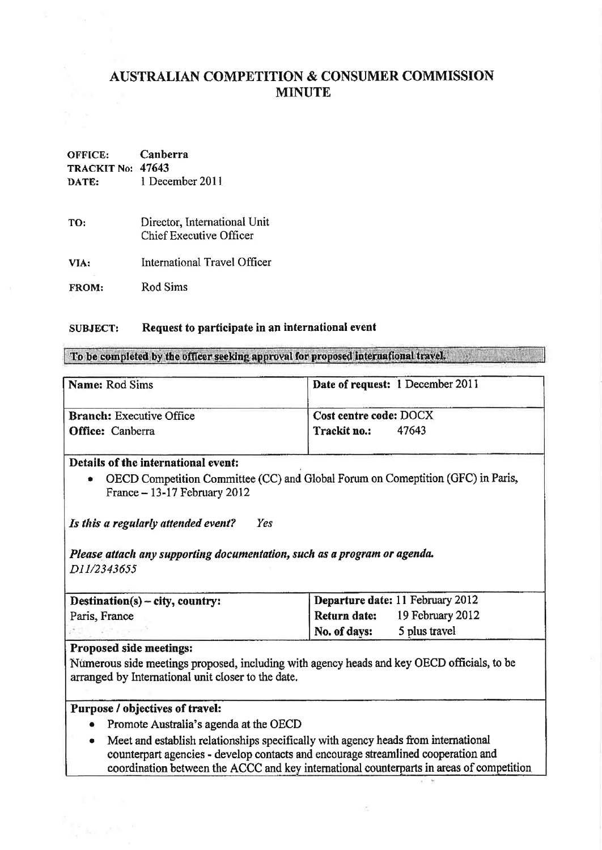# AUSTRALIAN COMPETITION & CONSUMER COMMISSION MINUTE

# OFFICE: Canberra TRACKIT No: 47643 DATE: I December 201I

- TO: Directot, International Unit Chief Executive Officer
- VIA: International Travel Officer

FROM: Rod Sims

#### SUBJECT: Request to participate in an international evenf

To be completed by the officer seeking approval for proposed international travel.

| Date of request: 1 December 2011 |
|----------------------------------|
| Cost centre code: DOCX           |
| Trackit no.:<br>47643            |
|                                  |

### Details of the international event:

• OECD Competition Committee (CC) and Global Forum on Comeptition (GFC) in Paris, France -13-17 Februarv 2012

Is this a regularly attended event? Yes

Please attach any supporting documentation, such as a program or agenda. D11/2343655

| $\text{Destination}(s) - \text{city}, \text{ country}:$ | Departure date: 11 February 2012 |                  |
|---------------------------------------------------------|----------------------------------|------------------|
| Paris, France                                           | Return date:                     | 19 February 2012 |
|                                                         | No. of days:                     | 5 plus travel    |

# Proposed side meetings:

Ntmerous side meetings proposed, including with agency heads and key OECD officials, to be arranged by lnternational unit closer to the date.

### Purpose / objectives of travel:

- Promote Australia's agenda at the OECD
- o Meet and establish relationships specifically with agency heads from international counterpart agencies - develop contacts and encourage streamlined cooperation and coordination between the ACCC and key international counterparts in areas of competition

R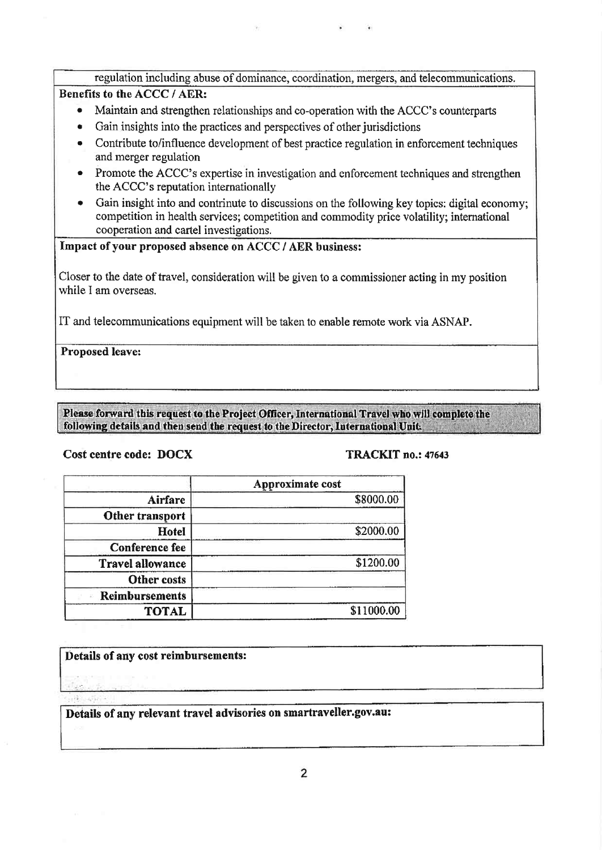| regulation including abuse of dominance, coordination, mergers, and telecommunications.         |  |
|-------------------------------------------------------------------------------------------------|--|
| Benefits to the ACCC / AER:                                                                     |  |
| $\blacksquare$ Montain and streamless relationships and so operation with the ACCC examplements |  |

- Maintain and strengthen relationships and co-operation with the ACCC's counterparts
- Gain insights into the practices and perspectives of other jurisdictions
- r Contribute to/influence development of best practice regulation in enforcement techniques and merger regulation
- Promote the ACCC's expertise in investigation and enforcement techniques and strengthen the ACCC's reputation internationally
- Gain insight into and contrinute to discussions on the following key topics; digital economy; competition in health services; competition and commodity price volatility; international cooperation and cartel investigations.

# Impact of your proposed absence on ACCC / AER business:

Closer to the date of travel, consideration will be given to a commissioner acting in my position while I am overseas.

IT and telecommunications equipment will be taken to enable remote work via ASNAP.

Proposed leave:

Please forward this request to the Project Officer, International Travel who will complete the following details and then send the request to the Director, International Unit.

### Cost centre code: DOCX TRACKIT no.: 47643

|                         | Approximate cost |
|-------------------------|------------------|
| Airfare                 | \$8000.00        |
| Other transport         |                  |
| Hotel                   | \$2000.00        |
| <b>Conference fee</b>   |                  |
| <b>Travel allowance</b> | \$1200.00        |
| Other costs             |                  |
| Reimbursements          |                  |
| <b>TOTAL</b>            | \$11000.00       |

Details of any cost reimbursements:

Details of any relevant travel advisories on smartraveller.gov.au: